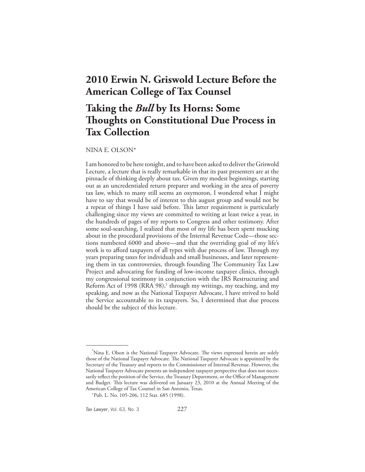# **2010 Erwin N. Griswold Lecture Before the American College of Tax Counsel**

# **Taking the** *Bull* **by Its Horns: Some Toughts on Constitutional Due Process in Tax Collection**

NINA E. OLSON\*

I am honored to be here tonight, and to have been asked to deliver the Griswold Lecture, a lecture that is really remarkable in that its past presenters are at the pinnacle of thinking deeply about tax. Given my modest beginnings, starting out as an uncredentialed return preparer and working in the area of poverty tax law, which to many still seems an oxymoron, I wondered what I might have to say that would be of interest to this august group and would not be a repeat of things I have said before. Tis latter requirement is particularly challenging since my views are committed to writing at least twice a year, in the hundreds of pages of my reports to Congress and other testimony. After some soul-searching, I realized that most of my life has been spent mucking about in the procedural provisions of the Internal Revenue Code—those sections numbered 6000 and above—and that the overriding goal of my life's work is to afford taxpayers of all types with due process of law. Through my years preparing taxes for individuals and small businesses, and later representing them in tax controversies, through founding The Community Tax Law Project and advocating for funding of low-income taxpayer clinics, through my congressional testimony in conjunction with the IRS Restructuring and Reform Act of 1998 (RRA 98),<sup>1</sup> through my writings, my teaching, and my speaking, and now as the National Taxpayer Advocate, I have strived to hold the Service accountable to its taxpayers. So, I determined that due process should be the subject of this lecture.

<sup>\*</sup>Nina E. Olson is the National Taxpayer Advocate. The views expressed herein are solely those of the National Taxpayer Advocate. The National Taxpayer Advocate is appointed by the Secretary of the Treasury and reports to the Commissioner of Internal Revenue. However, the National Taxpayer Advocate presents an independent taxpayer perspective that does not necessarily reflect the position of the Service, the Treasury Department, or the Office of Management and Budget. This lecture was delivered on January  $23$ ,  $2010$  at the Annual Meeting of the American College of Tax Counsel in San Antonio, Texas.

<sup>&</sup>lt;sup>1</sup> Pub. L. No. 105-206, 112 Stat. 685 (1998).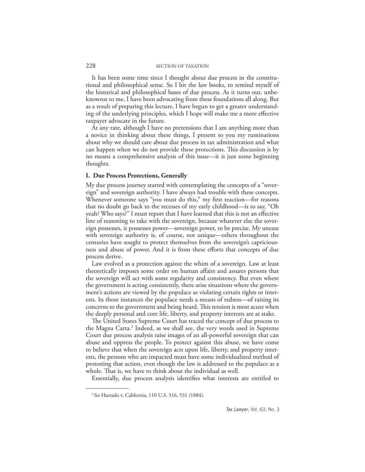It has been some time since I thought about due process in the constitutional and philosophical sense. So I hit the law books, to remind myself of the historical and philosophical bases of due process. As it turns out, unbeknownst to me, I have been advocating from these foundations all along. But as a result of preparing this lecture, I have begun to get a greater understanding of the underlying principles, which I hope will make me a more effective taxpayer advocate in the future.

At any rate, although I have no pretensions that I am anything more than a novice in thinking about these things, I present to you my ruminations about why we should care about due process in tax administration and what can happen when we do not provide these protections. This discussion is by no means a comprehensive analysis of this issue—it is just some beginning thoughts.

## **I. Due Process Protections, Generally**

My due process journey started with contemplating the concepts of a "sovereign" and sovereign authority. I have always had trouble with these concepts. Whenever someone says "you must do this," my first reaction—for reasons that no doubt go back to the recesses of my early childhood—is to say, "Oh yeah? Who says?" I must report that I have learned that this is not an effective line of reasoning to take with the sovereign, because whatever else the sovereign possesses, it possesses power—sovereign power, to be precise. My unease with sovereign authority is, of course, not unique—others throughout the centuries have sought to protect themselves from the sovereign's capriciousness and abuse of power. And it is from these efforts that concepts of due process derive.

Law evolved as a protection against the whim of a sovereign. Law at least theoretically imposes some order on human affairs and assures persons that the sovereign will act with some regularity and consistency. But even where the government is acting consistently, there arise situations where the government's actions are viewed by the populace as violating certain rights or interests. In those instances the populace needs a means of redress—of raising its concerns to the government and being heard. This tension is most acute when the deeply personal and core life, liberty, and property interests are at stake.

The United States Supreme Court has traced the concept of due process to the Magna Carta.2 Indeed, as we shall see, the very words used in Supreme Court due process analysis raise images of an all-powerful sovereign that can abuse and oppress the people. To protect against this abuse, we have come to believe that when the sovereign acts upon life, liberty, and property interests, the persons who are impacted must have some individualized method of protesting that action, even though the law is addressed to the populace as a whole. That is, we have to think about the individual as well.

Essentially, due process analysis identifies what interests are entitled to

<sup>2</sup> *See* Hurtado v. California, 110 U.S. 516, 531 (1884).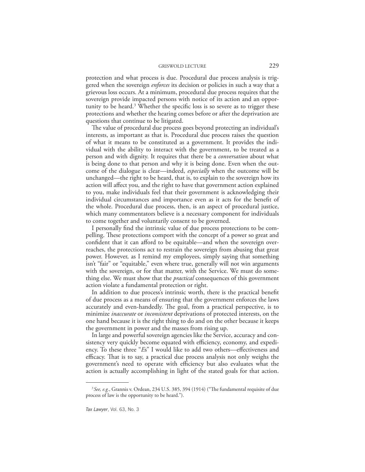protection and what process is due. Procedural due process analysis is triggered when the sovereign *enforces* its decision or policies in such a way that a grievous loss occurs. At a minimum, procedural due process requires that the sovereign provide impacted persons with notice of its action and an opportunity to be heard.<sup>3</sup> Whether the specific loss is so severe as to trigger these protections and whether the hearing comes before or after the deprivation are questions that continue to be litigated.

The value of procedural due process goes beyond protecting an individual's interests, as important as that is. Procedural due process raises the question of what it means to be constituted as a government. It provides the individual with the ability to interact with the government, to be treated as a person and with dignity. It requires that there be a *conversation* about what is being done to that person and why it is being done. Even when the outcome of the dialogue is clear—indeed, *especially* when the outcome will be unchanged—the right to be heard, that is, to explain to the sovereign how its action will affect you, and the right to have that government action explained to you, make individuals feel that their government is acknowledging their individual circumstances and importance even as it acts for the benefit of the whole. Procedural due process, then, is an aspect of procedural justice, which many commentators believe is a necessary component for individuals to come together and voluntarily consent to be governed.

I personally find the intrinsic value of due process protections to be compelling. These protections comport with the concept of a power so great and confident that it can afford to be equitable—and when the sovereign overreaches, the protections act to restrain the sovereign from abusing that great power. However, as I remind my employees, simply saying that something isn't "fair" or "equitable," even where true, generally will not win arguments with the sovereign, or for that matter, with the Service. We must do something else. We must show that the *practical* consequences of this government action violate a fundamental protection or right.

In addition to due process's intrinsic worth, there is the practical benefit of due process as a means of ensuring that the government enforces the laws accurately and even-handedly. The goal, from a practical perspective, is to minimize *inaccurate* or *inconsistent* deprivations of protected interests, on the one hand because it is the right thing to do and on the other because it keeps the government in power and the masses from rising up.

In large and powerful sovereign agencies like the Service, accuracy and consistency very quickly become equated with efficiency, economy, and expediency. To these three "*E*s" I would like to add two others—effectiveness and efficacy. That is to say, a practical due process analysis not only weighs the government's need to operate with efficiency but also evaluates what the action is actually accomplishing in light of the stated goals for that action.

<sup>&</sup>lt;sup>3</sup> See, e.g., Grannis v. Ordean, 234 U.S. 385, 394 (1914) ("The fundamental requisite of due process of law is the opportunity to be heard.").

*Tax Lawyer*, Vol. 63, No. 3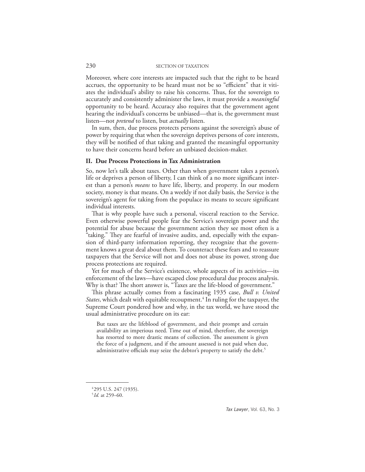Moreover, where core interests are impacted such that the right to be heard accrues, the opportunity to be heard must not be so "efficient" that it vitiates the individual's ability to raise his concerns. Tus, for the sovereign to accurately and consistently administer the laws, it must provide a *meaningful* opportunity to be heard. Accuracy also requires that the government agent hearing the individual's concerns be unbiased—that is, the government must listen—not *pretend* to listen, but *actually* listen.

In sum, then, due process protects persons against the sovereign's abuse of power by requiring that when the sovereign deprives persons of core interests, they will be notified of that taking and granted the meaningful opportunity to have their concerns heard before an unbiased decision-maker.

## **II. Due Process Protections in Tax Administration**

So, now let's talk about taxes. Other than when government takes a person's life or deprives a person of liberty, I can think of a no more significant interest than a person's *means* to have life, liberty, and property. In our modern society, money is that means. On a weekly if not daily basis, the Service is the sovereign's agent for taking from the populace its means to secure significant individual interests.

That is why people have such a personal, visceral reaction to the Service. Even otherwise powerful people fear the Service's sovereign power and the potential for abuse because the government action they see most often is a "taking." They are fearful of invasive audits, and, especially with the expansion of third-party information reporting, they recognize that the government knows a great deal about them. To counteract these fears and to reassure taxpayers that the Service will not and does not abuse its power, strong due process protections are required.

Yet for much of the Service's existence, whole aspects of its activities—its enforcement of the laws—have escaped close procedural due process analysis. Why is that? The short answer is, "Taxes are the life-blood of government."

This phrase actually comes from a fascinating 1935 case, *Bull v. United* States, which dealt with equitable recoupment.<sup>4</sup> In ruling for the taxpayer, the Supreme Court pondered how and why, in the tax world, we have stood the usual administrative procedure on its ear:

But taxes are the lifeblood of government, and their prompt and certain availability an imperious need. Time out of mind, therefore, the sovereign has resorted to more drastic means of collection. The assessment is given the force of a judgment, and if the amount assessed is not paid when due, administrative officials may seize the debtor's property to satisfy the debt.<sup>5</sup>

<sup>4 295</sup> U.S. 247 (1935).

<sup>5</sup> *Id.* at 259–60.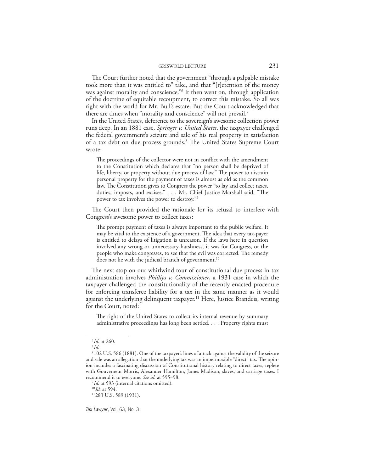The Court further noted that the government "through a palpable mistake took more than it was entitled to" take, and that "[r]etention of the money was against morality and conscience."6 It then went on, through application of the doctrine of equitable recoupment, to correct this mistake. So all was right with the world for Mr. Bull's estate. But the Court acknowledged that there are times when "morality and conscience" will not prevail.7

In the United States, deference to the sovereign's awesome collection power runs deep. In an 1881 case, *Springer v. United States*, the taxpayer challenged the federal government's seizure and sale of his real property in satisfaction of a tax debt on due process grounds.<sup>8</sup> The United States Supreme Court wrote:

The proceedings of the collector were not in conflict with the amendment to the Constitution which declares that "no person shall be deprived of life, liberty, or property without due process of law." The power to distrain personal property for the payment of taxes is almost as old as the common law. The Constitution gives to Congress the power "to lay and collect taxes, duties, imposts, and excises." . . . Mr. Chief Justice Marshall said, "The power to tax involves the power to destroy."9

The Court then provided the rationale for its refusal to interfere with Congress's awesome power to collect taxes:

The prompt payment of taxes is always important to the public welfare. It may be vital to the existence of a government. The idea that every tax-payer is entitled to delays of litigation is unreason. If the laws here in question involved any wrong or unnecessary harshness, it was for Congress, or the people who make congresses, to see that the evil was corrected. The remedy does not lie with the judicial branch of government.<sup>10</sup>

The next stop on our whirlwind tour of constitutional due process in tax administration involves *Phillips v. Commissioner*, a 1931 case in which the taxpayer challenged the constitutionality of the recently enacted procedure for enforcing transferee liability for a tax in the same manner as it would against the underlying delinquent taxpayer.<sup>11</sup> Here, Justice Brandeis, writing for the Court, noted:

The right of the United States to collect its internal revenue by summary administrative proceedings has long been settled. . . . Property rights must

<sup>9</sup>*Id.* at 593 (internal citations omitted).<br><sup>10</sup>*Id.* at 594.

<sup>6</sup>*Id*. at 260.

<sup>7</sup>*Id*.

<sup>8 102</sup> U.S. 586 (1881). One of the taxpayer's lines of attack against the validity of the seizure and sale was an allegation that the underlying tax was an impermissible "direct" tax. The opinion includes a fascinating discussion of Constitutional history relating to direct taxes, replete with Gouverneur Morris, Alexander Hamilton, James Madison, slaves, and carriage taxes. I recommend it to everyone. *See id.* at 595–98.

<sup>&</sup>lt;sup>11</sup> 283 U.S. 589 (1931).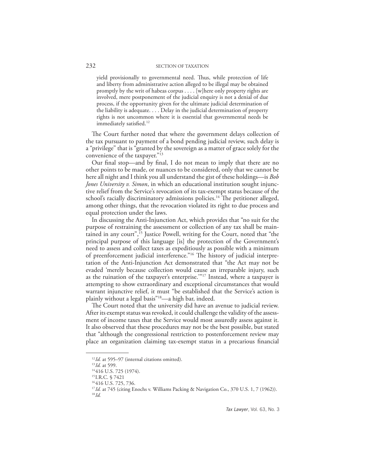yield provisionally to governmental need. Thus, while protection of life and liberty from administrative action alleged to be illegal may be obtained promptly by the writ of habeas corpus . . . . [w]here only property rights are involved, mere postponement of the judicial enquiry is not a denial of due process, if the opportunity given for the ultimate judicial determination of the liability is adequate. . . . Delay in the judicial determination of property rights is not uncommon where it is essential that governmental needs be immediately satisfied.<sup>12</sup>

The Court further noted that where the government delays collection of the tax pursuant to payment of a bond pending judicial review, such delay is a "privilege" that is "granted by the sovereign as a matter of grace solely for the convenience of the taxpayer."13

Our final stop—and by final, I do not mean to imply that there are no other points to be made, or nuances to be considered, only that we cannot be here all night and I think you all understand the gist of these holdings—is *Bob Jones University v. Simon*, in which an educational institution sought injunctive relief from the Service's revocation of its tax-exempt status because of the school's racially discriminatory admissions policies.<sup>14</sup> The petitioner alleged, among other things, that the revocation violated its right to due process and equal protection under the laws.

In discussing the Anti-Injunction Act, which provides that "no suit for the purpose of restraining the assessment or collection of any tax shall be maintained in any court",<sup>15</sup> Justice Powell, writing for the Court, noted that "the principal purpose of this language [is] the protection of the Government's need to assess and collect taxes as expeditiously as possible with a minimum of preenforcement judicial interference."<sup>16</sup> The history of judicial interpretation of the Anti-Injunction Act demonstrated that "the Act may not be evaded 'merely because collection would cause an irreparable injury, such as the ruination of the taxpayer's enterprise.'"17 Instead, where a taxpayer is attempting to show extraordinary and exceptional circumstances that would warrant injunctive relief, it must "be established that the Service's action is plainly without a legal basis"18—a high bar, indeed.

The Court noted that the university did have an avenue to judicial review. After its exempt status was revoked, it could challenge the validity of the assessment of income taxes that the Service would most assuredly assess against it. It also observed that these procedures may not be the best possible, but stated that "although the congressional restriction to postenforcement review may place an organization claiming tax-exempt status in a precarious financial

<sup>&</sup>lt;sup>12</sup>Id. at 595-97 (internal citations omitted).

<sup>13</sup>*Id.* at 599.

<sup>14 416</sup> U.S. 725 (1974).

<sup>15</sup> I.R.C. § 7421

<sup>&</sup>lt;sup>16</sup>416 U.S. 725, 736.

<sup>&</sup>lt;sup>17</sup> Id. at 745 (citing Enochs v. Williams Packing & Navigation Co., 370 U.S. 1, 7 (1962)). 18 *Id.*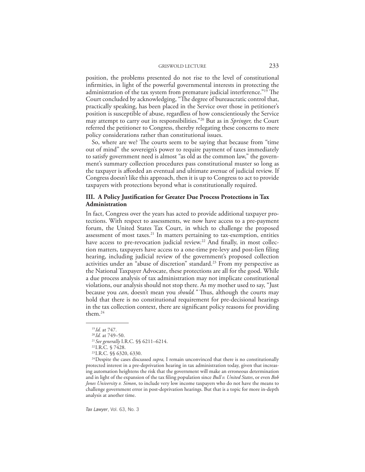position, the problems presented do not rise to the level of constitutional infirmities, in light of the powerful governmental interests in protecting the administration of the tax system from premature judicial interference."<sup>19</sup> The Court concluded by acknowledging, "The degree of bureaucratic control that, practically speaking, has been placed in the Service over those in petitioner's position is susceptible of abuse, regardless of how conscientiously the Service may attempt to carry out its responsibilities."20 But as in *Springer,* the Court referred the petitioner to Congress, thereby relegating these concerns to mere policy considerations rather than constitutional issues.

So, where are we? The courts seem to be saying that because from "time" out of mind" the sovereign's power to require payment of taxes immediately to satisfy government need is almost "as old as the common law," the government's summary collection procedures pass constitutional muster so long as the taxpayer is afforded an eventual and ultimate avenue of judicial review. If Congress doesn't like this approach, then it is up to Congress to act to provide taxpayers with protections beyond what is constitutionally required.

# **III. A Policy Justification for Greater Due Process Protections in Tax Administration**

In fact, Congress over the years has acted to provide additional taxpayer protections. With respect to assessments, we now have access to a pre-payment forum, the United States Tax Court, in which to challenge the proposed assessment of most taxes.<sup>21</sup> In matters pertaining to tax-exemption, entities have access to pre-revocation judicial review.<sup>22</sup> And finally, in most collection matters, taxpayers have access to a one-time pre-levy and post-lien filing hearing, including judicial review of the government's proposed collection activities under an "abuse of discretion" standard.<sup>23</sup> From my perspective as the National Taxpayer Advocate, these protections are all for the good. While a due process analysis of tax administration may not implicate constitutional violations, our analysis should not stop there. As my mother used to say, "Just because you *can*, doesn't mean you *should*." Thus, although the courts may hold that there is no constitutional requirement for pre-decisional hearings in the tax collection context, there are significant policy reasons for providing them.24

<sup>19</sup>*Id.* at 747.

<sup>20</sup>*Id.* at 749–50.

<sup>21</sup>*See generally* I.R.C. §§ 6211–6214.

<sup>22</sup> I.R.C. § 7428.

<sup>23</sup> I.R.C. §§ 6320, 6330.

<sup>&</sup>lt;sup>24</sup> Despite the cases discussed *supra*, I remain unconvinced that there is no constitutionally protected interest in a pre-deprivation hearing in tax administration today, given that increasing automation heightens the risk that the government will make an erroneous determination and in light of the expansion of the tax filing population since *Bull v. United States*, or even *Bob Jones University v. Simon*, to include very low income taxpayers who do not have the means to challenge government error in post-deprivation hearings. But that is a topic for more in-depth analysis at another time.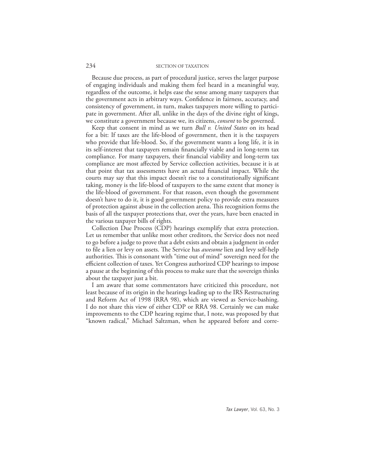Because due process, as part of procedural justice, serves the larger purpose of engaging individuals and making them feel heard in a meaningful way, regardless of the outcome, it helps ease the sense among many taxpayers that the government acts in arbitrary ways. Confidence in fairness, accuracy, and consistency of government, in turn, makes taxpayers more willing to participate in government. After all, unlike in the days of the divine right of kings, we constitute a government because we, its citizens, *consent* to be governed.

Keep that consent in mind as we turn *Bull v. United States* on its head for a bit: If taxes are the life-blood of government, then it is the taxpayers who provide that life-blood. So, if the government wants a long life, it is in its self-interest that taxpayers remain financially viable and in long-term tax compliance. For many taxpayers, their financial viability and long-term tax compliance are most affected by Service collection activities, because it is at that point that tax assessments have an actual financial impact. While the courts may say that this impact doesn't rise to a constitutionally significant taking, money is the life-blood of taxpayers to the same extent that money is the life-blood of government. For that reason, even though the government doesn't have to do it, it is good government policy to provide extra measures of protection against abuse in the collection arena. This recognition forms the basis of all the taxpayer protections that, over the years, have been enacted in the various taxpayer bills of rights.

Collection Due Process (CDP) hearings exemplify that extra protection. Let us remember that unlike most other creditors, the Service does not need to go before a judge to prove that a debt exists and obtain a judgment in order to file a lien or levy on assets. The Service has *awesome* lien and levy self-help authorities. This is consonant with "time out of mind" sovereign need for the efficient collection of taxes. Yet Congress authorized CDP hearings to impose a pause at the beginning of this process to make sure that the sovereign thinks about the taxpayer just a bit.

I am aware that some commentators have criticized this procedure, not least because of its origin in the hearings leading up to the IRS Restructuring and Reform Act of 1998 (RRA 98), which are viewed as Service-bashing. I do not share this view of either CDP or RRA 98. Certainly we can make improvements to the CDP hearing regime that, I note, was proposed by that "known radical," Michael Saltzman, when he appeared before and corre-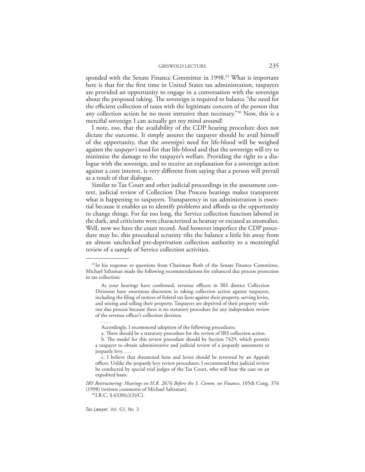sponded with the Senate Finance Committee in 1998.<sup>25</sup> What is important here is that for the first time in United States tax administration, taxpayers are provided an opportunity to engage in a conversation with the sovereign about the proposed taking. The sovereign is required to balance "the need for the efficient collection of taxes with the legitimate concern of the person that any collection action be no more intrusive than necessary."<sup>26</sup> Now, this is a merciful sovereign I can actually get my mind around!

I note, too, that the availability of the CDP hearing procedure does not dictate the outcome. It simply assures the taxpayer should he avail himself of the opportunity, that the *sovereign's* need for life-blood will be weighed against the *taxpayer's* need for that life-blood and that the sovereign will try to minimize the damage to the taxpayer's welfare. Providing the right to a dialogue with the sovereign, and to receive an explanation for a sovereign action against a core interest, is very different from saying that a person will prevail as a result of that dialogue.

Similar to Tax Court and other judicial proceedings in the assessment context, judicial review of Collection Due Process hearings makes transparent what is happening to taxpayers. Transparency in tax administration is essential because it enables us to identify problems and affords us the opportunity to change things. For far too long, the Service collection function labored in the dark, and criticisms were characterized as hearsay or excused as anomalies. Well, now we have the court record. And however imperfect the CDP procedure may be, this procedural scrutiny tilts the balance a little bit away from an almost unchecked pre-deprivation collection authority to a meaningful review of a sample of Service collection activities.

*Tax Lawyer*, Vol. 63, No. 3

. . . .

<sup>&</sup>lt;sup>25</sup> In his response to questions from Chairman Roth of the Senate Finance Committee, Michael Saltzman made the following recommendations for enhanced due process protection in tax collection:

As your hearings have confirmed, revenue officers in IRS district Collection Divisions have enormous discretion in taking collection action against taxpayers, including the filing of notices of federal tax liens against their property, serving levies, and seizing and selling their property. Taxpayers are deprived of their property without due process because there is no statutory procedure for any independent review of the revenue officer's collection decision.

Accordingly, I recommend adoption of the following procedures:

a. There should be a statutory procedure for the review of IRS collection action.

b. The model for this review procedure should be Section 7429, which permits a taxpayer to obtain administrative and judicial review of a jeopardy assessment or jeopardy levy. . . .

c. I believe that threatened liens and levies should be reviewed by an Appeals officer. Unlike the jeopardy levy review procedures, I recommend that judicial review be conducted by special trial judges of the Tax Court, who will hear the case on an expedited basis.

*IRS Restructuring: Hearings on H.R. 2676 Before the S. Comm. on Finance*, 105th Cong. 376 (1998) (written comments of Michael Saltzman).

 $^{26}$  I.R.C. § 6330(c)(3)(C).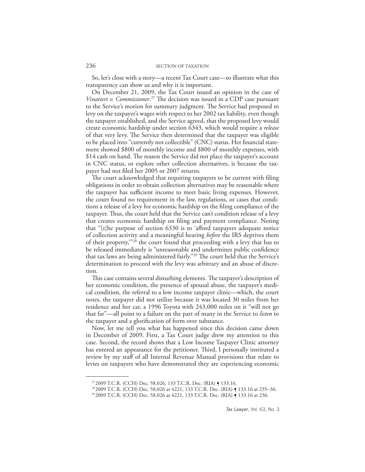So, let's close with a story—a recent Tax Court case—to illustrate what this transparency can show us and why it is important.

On December 21, 2009, the Tax Court issued an opinion in the case of *Vinatieri v. Commissioner*.<sup>27</sup> The decision was issued in a CDP case pursuant to the Service's motion for summary judgment. The Service had proposed to levy on the taxpayer's wages with respect to her 2002 tax liability, even though the taxpayer established, and the Service agreed, that the proposed levy would create economic hardship under section 6343, which would require a *release* of that very levy. The Service then determined that the taxpayer was eligible to be placed into "currently not collectible" (CNC) status. Her financial statement showed \$800 of monthly income and \$800 of monthly expenses, with \$14 cash on hand. The reason the Service did not place the taxpayer's account in CNC status, or explore other collection alternatives, is because the taxpayer had not filed her 2005 or 2007 returns.

The court acknowledged that requiring taxpayers to be current with filing obligations in order to obtain collection alternatives may be reasonable where the taxpayer has sufficient income to meet basic living expenses. However, the court found no requirement in the law, regulations, or cases that conditions a release of a levy for economic hardship on the filing compliance of the taxpayer. Thus, the court held that the Service can't condition release of a levy that creates economic hardship on filing and payment compliance. Noting that "[t]he purpose of section 6330 is to 'afford taxpayers adequate notice of collection activity and a meaningful hearing *before* the IRS deprives them of their property,'"28 the court found that proceeding with a levy that has to be released immediately is "unreasonable and undermines public confidence that tax laws are being administered fairly."<sup>29</sup> The court held that the Service's determination to proceed with the levy was arbitrary and an abuse of discretion.

This case contains several disturbing elements. The taxpayer's description of her economic condition, the presence of spousal abuse, the taxpayer's medical condition, the referral to a low income taxpayer clinic—which, the court notes, the taxpayer did not utilize because it was located 30 miles from her residence and her car, a 1996 Toyota with 243,000 miles on it "will not go that far"—all point to a failure on the part of many in the Service to *listen* to the taxpayer and a glorification of form over substance.

Now, let me tell you what has happened since this decision came down in December of 2009. First, a Tax Court judge drew my attention to this case. Second, the record shows that a Low Income Taxpayer Clinic attorney has entered an appearance for the petitioner. Third, I personally instituted a review by my staff of all Internal Revenue Manual provisions that relate to levies on taxpayers who have demonstrated they are experiencing economic

<sup>27 2009</sup> T.C.R. (CCH) Dec. 58,026, 133 T.C.R. Dec. (RIA) ¶ 133.16.

<sup>28 2009</sup> T.C.R. (CCH) Dec. 58,026 at 4221, 133 T.C.R. Dec. (RIA) ¶ 133.16 at 235–36.

<sup>29 2009</sup> T.C.R. (CCH) Dec. 58,026 at 4221, 133 T.C.R. Dec. (RIA) ¶ 133.16 at 236.